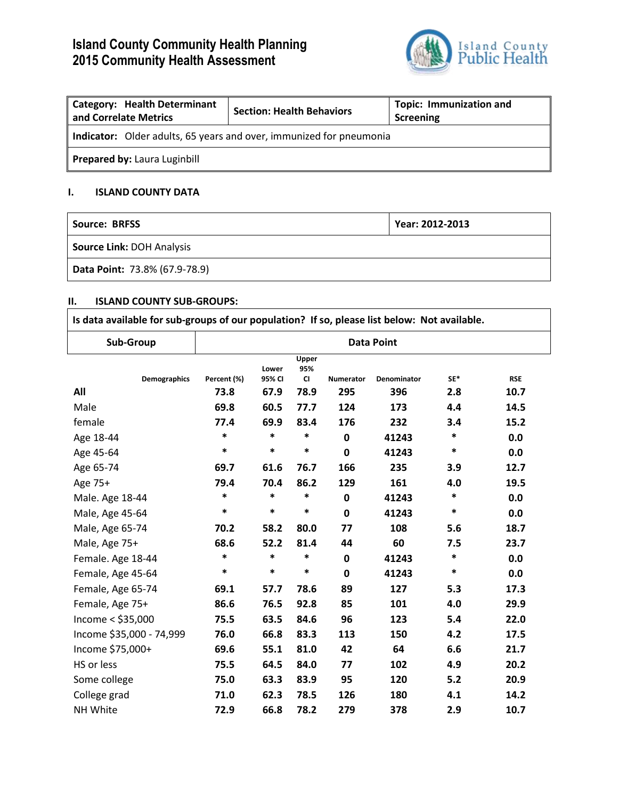# **Island County Community Health Planning 2015 Community Health Assessment**



| <b>Category: Health Determinant</b><br>and Correlate Metrics               | <b>Section: Health Behaviors</b> | <b>Topic: Immunization and</b><br>Screening |  |  |  |
|----------------------------------------------------------------------------|----------------------------------|---------------------------------------------|--|--|--|
| <b>Indicator:</b> Older adults, 65 years and over, immunized for pneumonia |                                  |                                             |  |  |  |
| <b>Prepared by: Laura Luginbill</b>                                        |                                  |                                             |  |  |  |

### **I. ISLAND COUNTY DATA**

| Source: BRFSS                    | Year: 2012-2013 |
|----------------------------------|-----------------|
| <b>Source Link: DOH Analysis</b> |                 |
| Data Point: 73.8% (67.9-78.9)    |                 |

#### **II. ISLAND COUNTY SUB-GROUPS:**

| Is data available for sub-groups of our population? If so, please list below: Not available. |                   |                 |                           |             |             |        |            |
|----------------------------------------------------------------------------------------------|-------------------|-----------------|---------------------------|-------------|-------------|--------|------------|
| Sub-Group                                                                                    | <b>Data Point</b> |                 |                           |             |             |        |            |
| <b>Demographics</b>                                                                          | Percent (%)       | Lower<br>95% CI | Upper<br>95%<br><b>CI</b> | Numerator   | Denominator | SE*    | <b>RSE</b> |
| All                                                                                          | 73.8              | 67.9            | 78.9                      | 295         | 396         | 2.8    | 10.7       |
| Male                                                                                         | 69.8              | 60.5            | 77.7                      | 124         | 173         | 4.4    | 14.5       |
| female                                                                                       | 77.4              | 69.9            | 83.4                      | 176         | 232         | 3.4    | 15.2       |
| Age 18-44                                                                                    | $\ast$            | $\ast$          | $\ast$                    | 0           | 41243       | ∗      | 0.0        |
| Age 45-64                                                                                    | $\ast$            | $\ast$          | $\ast$                    | $\mathbf 0$ | 41243       | $\ast$ | 0.0        |
| Age 65-74                                                                                    | 69.7              | 61.6            | 76.7                      | 166         | 235         | 3.9    | 12.7       |
| Age 75+                                                                                      | 79.4              | 70.4            | 86.2                      | 129         | 161         | 4.0    | 19.5       |
| Male. Age 18-44                                                                              | $\ast$            | $\ast$          | $\ast$                    | $\mathbf 0$ | 41243       | *      | 0.0        |
| Male, Age 45-64                                                                              | $\ast$            | *               | $\ast$                    | 0           | 41243       | $\ast$ | 0.0        |
| Male, Age 65-74                                                                              | 70.2              | 58.2            | 80.0                      | 77          | 108         | 5.6    | 18.7       |
| Male, Age 75+                                                                                | 68.6              | 52.2            | 81.4                      | 44          | 60          | 7.5    | 23.7       |
| Female. Age 18-44                                                                            | $\ast$            | $\ast$          | $\ast$                    | $\mathbf 0$ | 41243       | $\ast$ | 0.0        |
| Female, Age 45-64                                                                            | $\ast$            | $\ast$          | $\ast$                    | $\mathbf 0$ | 41243       | ∗      | 0.0        |
| Female, Age 65-74                                                                            | 69.1              | 57.7            | 78.6                      | 89          | 127         | 5.3    | 17.3       |
| Female, Age 75+                                                                              | 86.6              | 76.5            | 92.8                      | 85          | 101         | 4.0    | 29.9       |
| Income $<$ \$35,000                                                                          | 75.5              | 63.5            | 84.6                      | 96          | 123         | 5.4    | 22.0       |
| Income \$35,000 - 74,999                                                                     | 76.0              | 66.8            | 83.3                      | 113         | 150         | 4.2    | 17.5       |
| Income \$75,000+                                                                             | 69.6              | 55.1            | 81.0                      | 42          | 64          | 6.6    | 21.7       |
| HS or less                                                                                   | 75.5              | 64.5            | 84.0                      | 77          | 102         | 4.9    | 20.2       |
| Some college                                                                                 | 75.0              | 63.3            | 83.9                      | 95          | 120         | 5.2    | 20.9       |
| College grad                                                                                 | 71.0              | 62.3            | 78.5                      | 126         | 180         | 4.1    | 14.2       |
| NH White                                                                                     | 72.9              | 66.8            | 78.2                      | 279         | 378         | 2.9    | 10.7       |